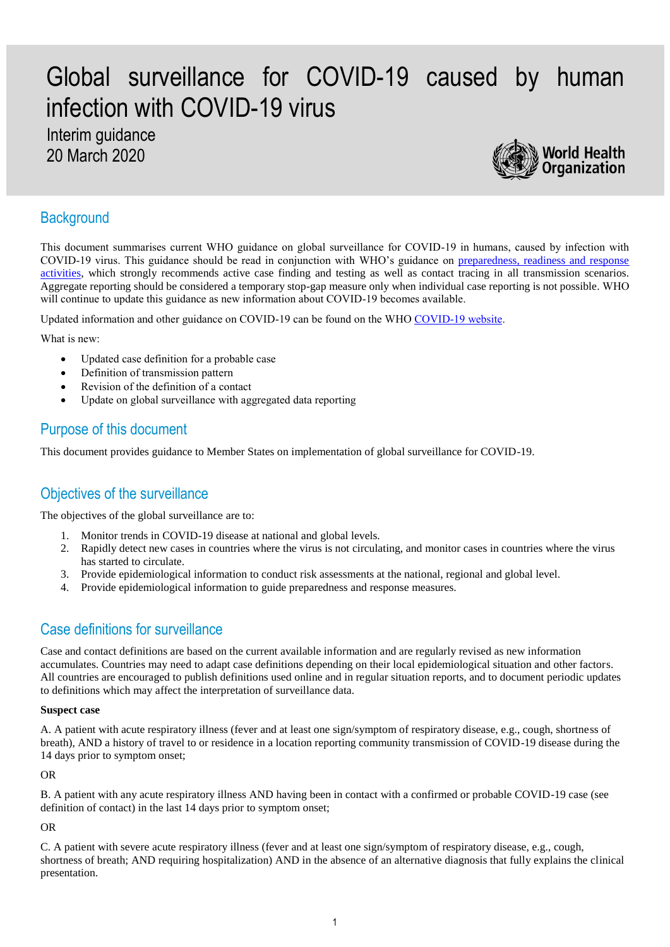# Global surveillance for COVID-19 caused by human infection with COVID-19 virus

Interim guidance 20 March 2020



# **Background**

This document summarises current WHO guidance on global surveillance for COVID-19 in humans, caused by infection with COVID-19 virus. This guidance should be read in conjunction with WHO's guidance on [preparedness, readiness and response](https://www.who.int/publications-detail/critical-preparedness-readiness-and-response-actions-for-covid-19)  [activities,](https://www.who.int/publications-detail/critical-preparedness-readiness-and-response-actions-for-covid-19) which strongly recommends active case finding and testing as well as contact tracing in all transmission scenarios. Aggregate reporting should be considered a temporary stop-gap measure only when individual case reporting is not possible. WHO will continue to update this guidance as new information about COVID-19 becomes available.

Updated information and other guidance on COVID-19 can be found on the WHO COVID-19 website.

What is new:

- Updated case definition for a probable case
- Definition of transmission pattern
- Revision of the definition of a contact
- Update on global surveillance with aggregated data reporting

### Purpose of this document

This document provides guidance to Member States on implementation of global surveillance for COVID-19.

# Objectives of the surveillance

The objectives of the global surveillance are to:

- 1. Monitor trends in COVID-19 disease at national and global levels.
- 2. Rapidly detect new cases in countries where the virus is not circulating, and monitor cases in countries where the virus has started to circulate.
- 3. Provide epidemiological information to conduct risk assessments at the national, regional and global level.
- 4. Provide epidemiological information to guide preparedness and response measures.

### Case definitions for surveillance

Case and contact definitions are based on the current available information and are regularly revised as new information accumulates. Countries may need to adapt case definitions depending on their local epidemiological situation and other factors. All countries are encouraged to publish definitions used online and in regular situation reports, and to document periodic updates to definitions which may affect the interpretation of surveillance data.

#### **Suspect case**

A. A patient with acute respiratory illness (fever and at least one sign/symptom of respiratory disease, e.g., cough, shortness of breath), AND a history of travel to or residence in a location reporting community transmission of COVID-19 disease during the 14 days prior to symptom onset;

OR

B. A patient with any acute respiratory illness AND having been in contact with a confirmed or probable COVID-19 case (see definition of contact) in the last 14 days prior to symptom onset;

OR

C. A patient with severe acute respiratory illness (fever and at least one sign/symptom of respiratory disease, e.g., cough, shortness of breath; AND requiring hospitalization) AND in the absence of an alternative diagnosis that fully explains the clinical presentation.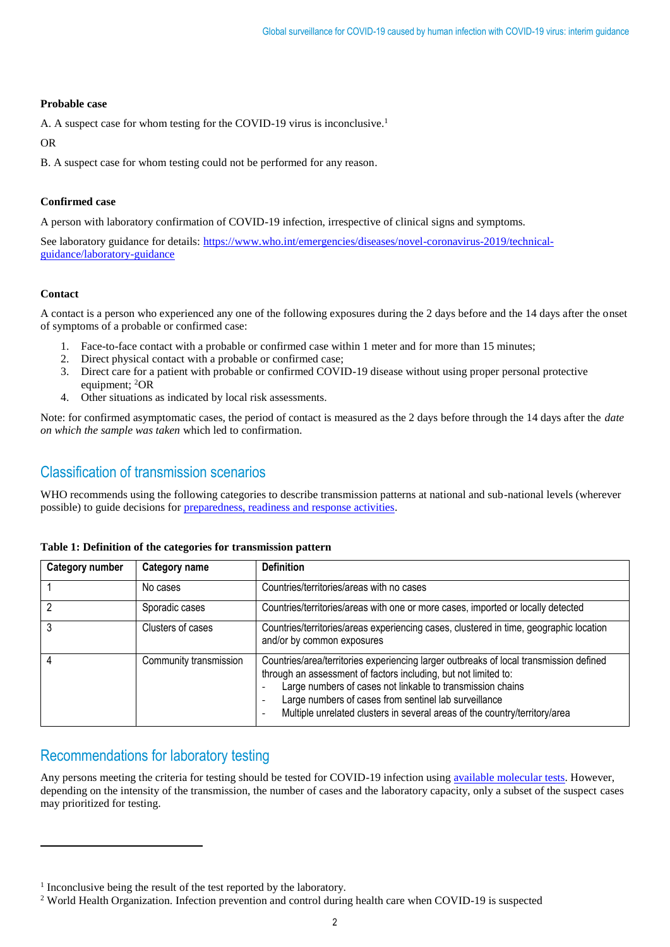#### **Probable case**

A. A suspect case for whom testing for the COVID-19 virus is inconclusive. 1

OR

B. A suspect case for whom testing could not be performed for any reason.

### **Confirmed case**

A person with laboratory confirmation of COVID-19 infection, irrespective of clinical signs and symptoms.

See laboratory guidance for details: [https://www.who.int/emergencies/diseases/novel-coronavirus-2019/technical](https://www.who.int/emergencies/diseases/novel-coronavirus-2019/technical-guidance/laboratory-guidance)[guidance/laboratory-guidance](https://www.who.int/emergencies/diseases/novel-coronavirus-2019/technical-guidance/laboratory-guidance)

### **Contact**

 $\overline{\phantom{a}}$ 

A contact is a person who experienced any one of the following exposures during the 2 days before and the 14 days after the onset of symptoms of a probable or confirmed case:

- 1. Face-to-face contact with a probable or confirmed case within 1 meter and for more than 15 minutes;
- 2. Direct physical contact with a probable or confirmed case;
- 3. Direct care for a patient with probable or confirmed COVID-19 disease without using proper personal protective equipment; <sup>2</sup>OR
- 4. Other situations as indicated by local risk assessments.

Note: for confirmed asymptomatic cases, the period of contact is measured as the 2 days before through the 14 days after the *date on which the sample was taken* which led to confirmation.

### Classification of transmission scenarios

WHO recommends using the following categories to describe transmission patterns at national and sub-national levels (wherever possible) to guide decisions for [preparedness, readiness and response activities.](https://www.who.int/publications-detail/critical-preparedness-readiness-and-response-actions-for-covid-19)

| Category number | <b>Category name</b>   | <b>Definition</b>                                                                                                                                                                                                                                                                                                                                                                               |
|-----------------|------------------------|-------------------------------------------------------------------------------------------------------------------------------------------------------------------------------------------------------------------------------------------------------------------------------------------------------------------------------------------------------------------------------------------------|
|                 | No cases               | Countries/territories/areas with no cases                                                                                                                                                                                                                                                                                                                                                       |
|                 | Sporadic cases         | Countries/territories/areas with one or more cases, imported or locally detected                                                                                                                                                                                                                                                                                                                |
|                 | Clusters of cases      | Countries/territories/areas experiencing cases, clustered in time, geographic location<br>and/or by common exposures                                                                                                                                                                                                                                                                            |
|                 | Community transmission | Countries/area/territories experiencing larger outbreaks of local transmission defined<br>through an assessment of factors including, but not limited to:<br>Large numbers of cases not linkable to transmission chains<br>Large numbers of cases from sentinel lab surveillance<br>٠<br>Multiple unrelated clusters in several areas of the country/territory/area<br>$\overline{\phantom{0}}$ |

#### **Table 1: Definition of the categories for transmission pattern**

# Recommendations for laboratory testing

Any persons meeting the criteria for testing should be tested for COVID-19 infection using [available molecular tests.](https://www.who.int/publications-detail/laboratory-testing-for-2019-novel-coronavirus-in-suspected-human-cases-20200117) However, depending on the intensity of the transmission, the number of cases and the laboratory capacity, only a subset of the suspect cases may prioritized for testing.

<sup>&</sup>lt;sup>1</sup> Inconclusive being the result of the test reported by the laboratory.

<sup>&</sup>lt;sup>2</sup> World Health Organization. Infection prevention and control during health care when COVID-19 is suspected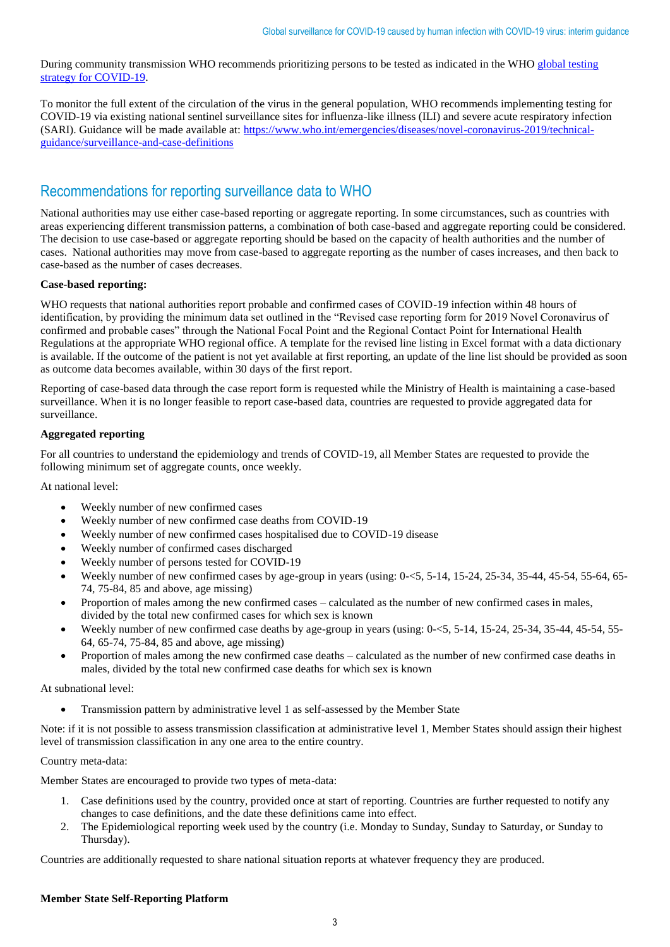During community transmission WHO recommends prioritizing persons to be tested as indicated in the WHO [global testing](https://www.who.int/emergencies/diseases/novel-coronavirus-2019/technical-guidance/laboratory-guidance)  [strategy for COVID-19.](https://www.who.int/emergencies/diseases/novel-coronavirus-2019/technical-guidance/laboratory-guidance)

To monitor the full extent of the circulation of the virus in the general population, WHO recommends implementing testing for COVID-19 via existing national sentinel surveillance sites for influenza-like illness (ILI) and severe acute respiratory infection (SARI). Guidance will be made available at: [https://www.who.int/emergencies/diseases/novel-coronavirus-2019/technical](https://www.who.int/emergencies/diseases/novel-coronavirus-2019/technical-guidance/surveillance-and-case-definitions)[guidance/surveillance-and-case-definitions](https://www.who.int/emergencies/diseases/novel-coronavirus-2019/technical-guidance/surveillance-and-case-definitions)

# Recommendations for reporting surveillance data to WHO

National authorities may use either case-based reporting or aggregate reporting. In some circumstances, such as countries with areas experiencing different transmission patterns, a combination of both case-based and aggregate reporting could be considered. The decision to use case-based or aggregate reporting should be based on the capacity of health authorities and the number of cases. National authorities may move from case-based to aggregate reporting as the number of cases increases, and then back to case-based as the number of cases decreases.

### **Case-based reporting:**

WHO requests that national authorities report probable and confirmed cases of COVID-19 infection within 48 hours of identification, by providing the minimum data set outlined in the "Revised case reporting form for 2019 Novel Coronavirus of confirmed and probable cases" through the National Focal Point and the Regional Contact Point for International Health Regulations at the appropriate WHO regional office. A template for the revised line listing in Excel format with a data dictionary is available. If the outcome of the patient is not yet available at first reporting, an update of the line list should be provided as soon as outcome data becomes available, within 30 days of the first report.

Reporting of case-based data through the case report form is requested while the Ministry of Health is maintaining a case-based surveillance. When it is no longer feasible to report case-based data, countries are requested to provide aggregated data for surveillance.

### **Aggregated reporting**

For all countries to understand the epidemiology and trends of COVID-19, all Member States are requested to provide the following minimum set of aggregate counts, once weekly.

At national level:

- Weekly number of new confirmed cases
- Weekly number of new confirmed case deaths from COVID-19
- Weekly number of new confirmed cases hospitalised due to COVID-19 disease
- Weekly number of confirmed cases discharged
- Weekly number of persons tested for COVID-19
- Weekly number of new confirmed cases by age-group in years (using: 0-<5, 5-14, 15-24, 25-34, 35-44, 45-54, 55-64, 65- 74, 75-84, 85 and above, age missing)
- Proportion of males among the new confirmed cases calculated as the number of new confirmed cases in males, divided by the total new confirmed cases for which sex is known
- Weekly number of new confirmed case deaths by age-group in years (using: 0-<5, 5-14, 15-24, 25-34, 35-44, 45-54, 55- 64, 65-74, 75-84, 85 and above, age missing)
- Proportion of males among the new confirmed case deaths calculated as the number of new confirmed case deaths in males, divided by the total new confirmed case deaths for which sex is known

#### At subnational level:

• Transmission pattern by administrative level 1 as self-assessed by the Member State

Note: if it is not possible to assess transmission classification at administrative level 1, Member States should assign their highest level of transmission classification in any one area to the entire country.

#### Country meta-data:

Member States are encouraged to provide two types of meta-data:

- 1. Case definitions used by the country, provided once at start of reporting. Countries are further requested to notify any changes to case definitions, and the date these definitions came into effect.
- 2. The Epidemiological reporting week used by the country (i.e. Monday to Sunday, Sunday to Saturday, or Sunday to Thursday).

Countries are additionally requested to share national situation reports at whatever frequency they are produced.

#### **Member State Self-Reporting Platform**